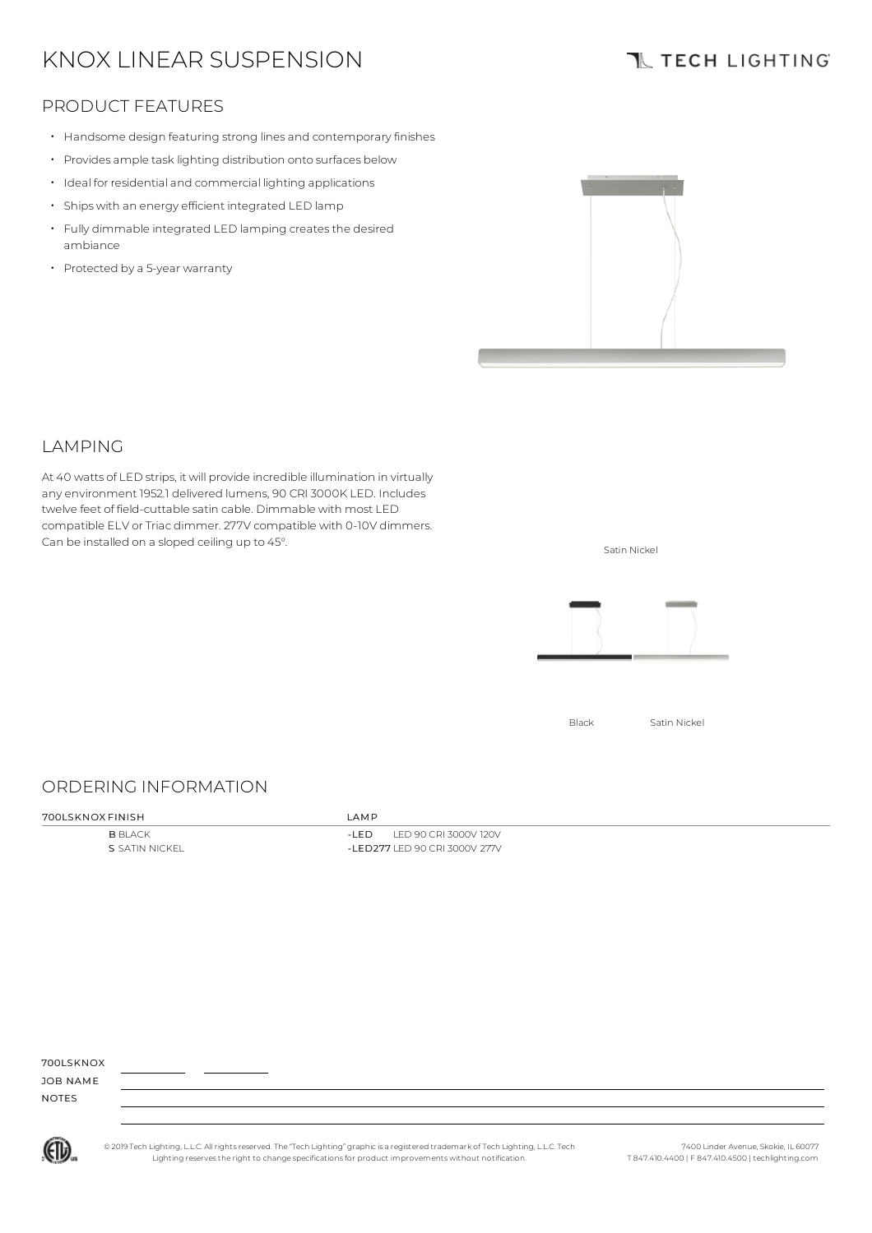# KNOX LINEAR SUSPENSION

# **TL TECH LIGHTING**

## PRODUCT FEATURES

- Handsome design featuring strong lines and contemporaryfinishes
- Provides ample task lighting distribution onto surfaces below
- Ideal for residential and commercial lighting applications
- Ships with an energy efficient integrated LED lamp
- Fully dimmable integrated LED lamping createsthe desired ambiance
- Protected by <sup>a</sup> 5-year warranty



#### **LAMPING**

At 40 watts of LED strips, it will provide incredible illumination in virtually any environment 1952.1 delivered lumens, 90 CRI 3000K LED. Includes twelve feet of field-cuttable satin cable. Dimmable with most LED compatible ELV or Triac dimmer. 277V compatible with 0-10V dimmers. Can be installed on a sloped ceiling up to 45°.



Satin Nickel

## ORDERING INFORMATION

#### 700LSKNOX FINISH LAMP

**B** BLACK S SATIN NICKEL

-LED LED 90 CRI 3000V 120V -LED277 LED 90 CRI 3000V 277V

700LSKNOX

JOB NAME NOTES



© 2019 Tech Lighting, L.L.C. All rightsreserved. The "Tech Lighting" graphicis a registered trademark of Tech Lighting, L.L.C. Tech Lighting reservesthe right to change specificationsfor product improvements without notification.

7400 Linder Avenue, Skokie, IL 60077 T 847.410.4400 | F 847.410.4500 | techlighting.com